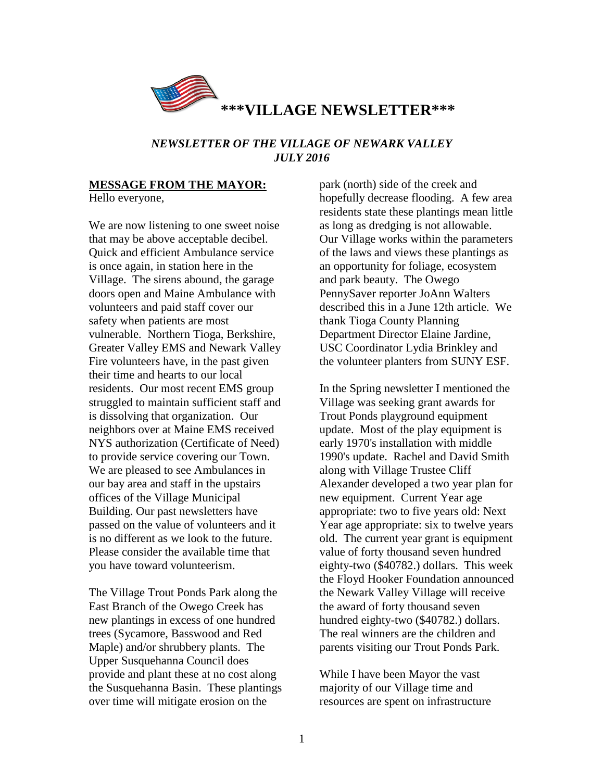

#### *NEWSLETTER OF THE VILLAGE OF NEWARK VALLEY JULY 2016*

# **MESSAGE FROM THE MAYOR:**

Hello everyone,

We are now listening to one sweet noise that may be above acceptable decibel. Quick and efficient Ambulance service is once again, in station here in the Village. The sirens abound, the garage doors open and Maine Ambulance with volunteers and paid staff cover our safety when patients are most vulnerable. Northern Tioga, Berkshire, Greater Valley EMS and Newark Valley Fire volunteers have, in the past given their time and hearts to our local residents. Our most recent EMS group struggled to maintain sufficient staff and is dissolving that organization. Our neighbors over at Maine EMS received NYS authorization (Certificate of Need) to provide service covering our Town. We are pleased to see Ambulances in our bay area and staff in the upstairs offices of the Village Municipal Building. Our past newsletters have passed on the value of volunteers and it is no different as we look to the future. Please consider the available time that you have toward volunteerism.

The Village Trout Ponds Park along the East Branch of the Owego Creek has new plantings in excess of one hundred trees (Sycamore, Basswood and Red Maple) and/or shrubbery plants. The Upper Susquehanna Council does provide and plant these at no cost along the Susquehanna Basin. These plantings over time will mitigate erosion on the

park (north) side of the creek and hopefully decrease flooding. A few area residents state these plantings mean little as long as dredging is not allowable. Our Village works within the parameters of the laws and views these plantings as an opportunity for foliage, ecosystem and park beauty. The Owego PennySaver reporter JoAnn Walters described this in a June 12th article. We thank Tioga County Planning Department Director Elaine Jardine, USC Coordinator Lydia Brinkley and the volunteer planters from SUNY ESF.

In the Spring newsletter I mentioned the Village was seeking grant awards for Trout Ponds playground equipment update. Most of the play equipment is early 1970's installation with middle 1990's update. Rachel and David Smith along with Village Trustee Cliff Alexander developed a two year plan for new equipment. Current Year age appropriate: two to five years old: Next Year age appropriate: six to twelve years old. The current year grant is equipment value of forty thousand seven hundred eighty-two (\$40782.) dollars. This week the Floyd Hooker Foundation announced the Newark Valley Village will receive the award of forty thousand seven hundred eighty-two (\$40782.) dollars. The real winners are the children and parents visiting our Trout Ponds Park.

While I have been Mayor the vast majority of our Village time and resources are spent on infrastructure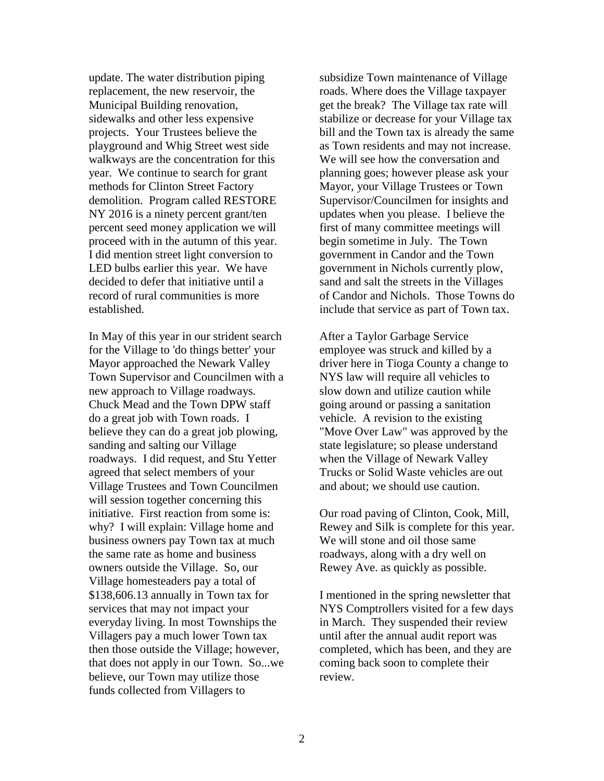update. The water distribution piping replacement, the new reservoir, the Municipal Building renovation, sidewalks and other less expensive projects. Your Trustees believe the playground and Whig Street west side walkways are the concentration for this year. We continue to search for grant methods for Clinton Street Factory demolition. Program called RESTORE NY 2016 is a ninety percent grant/ten percent seed money application we will proceed with in the autumn of this year. I did mention street light conversion to LED bulbs earlier this year. We have decided to defer that initiative until a record of rural communities is more established.

In May of this year in our strident search for the Village to 'do things better' your Mayor approached the Newark Valley Town Supervisor and Councilmen with a new approach to Village roadways. Chuck Mead and the Town DPW staff do a great job with Town roads. I believe they can do a great job plowing, sanding and salting our Village roadways. I did request, and Stu Yetter agreed that select members of your Village Trustees and Town Councilmen will session together concerning this initiative. First reaction from some is: why? I will explain: Village home and business owners pay Town tax at much the same rate as home and business owners outside the Village. So, our Village homesteaders pay a total of \$138,606.13 annually in Town tax for services that may not impact your everyday living. In most Townships the Villagers pay a much lower Town tax then those outside the Village; however, that does not apply in our Town. So...we believe, our Town may utilize those funds collected from Villagers to

subsidize Town maintenance of Village roads. Where does the Village taxpayer get the break? The Village tax rate will stabilize or decrease for your Village tax bill and the Town tax is already the same as Town residents and may not increase. We will see how the conversation and planning goes; however please ask your Mayor, your Village Trustees or Town Supervisor/Councilmen for insights and updates when you please. I believe the first of many committee meetings will begin sometime in July. The Town government in Candor and the Town government in Nichols currently plow, sand and salt the streets in the Villages of Candor and Nichols. Those Towns do include that service as part of Town tax.

After a Taylor Garbage Service employee was struck and killed by a driver here in Tioga County a change to NYS law will require all vehicles to slow down and utilize caution while going around or passing a sanitation vehicle. A revision to the existing "Move Over Law" was approved by the state legislature; so please understand when the Village of Newark Valley Trucks or Solid Waste vehicles are out and about; we should use caution.

Our road paving of Clinton, Cook, Mill, Rewey and Silk is complete for this year. We will stone and oil those same roadways, along with a dry well on Rewey Ave. as quickly as possible.

I mentioned in the spring newsletter that NYS Comptrollers visited for a few days in March. They suspended their review until after the annual audit report was completed, which has been, and they are coming back soon to complete their review.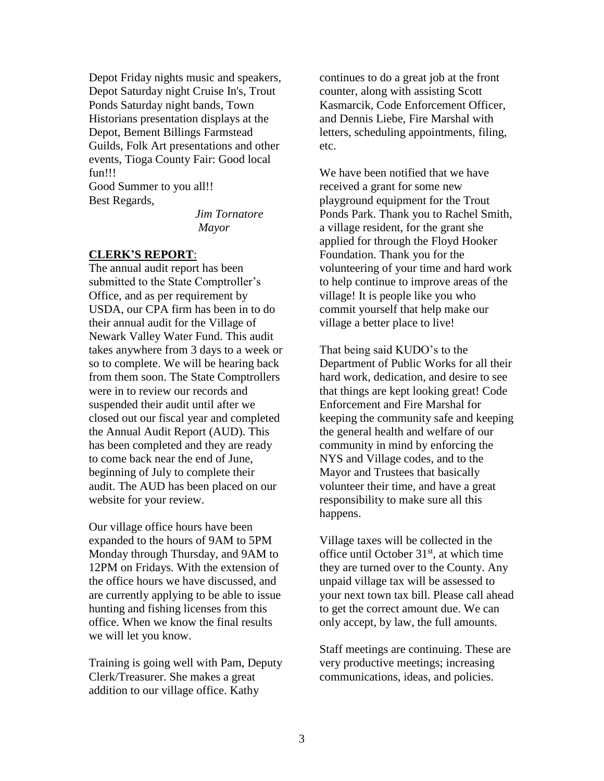Depot Friday nights music and speakers, Depot Saturday night Cruise In's, Trout Ponds Saturday night bands, Town Historians presentation displays at the Depot, Bement Billings Farmstead Guilds, Folk Art presentations and other events, Tioga County Fair: Good local fun!!!

Good Summer to you all!! Best Regards,

*Jim Tornatore Mayor*

#### **CLERK'S REPORT**:

The annual audit report has been submitted to the State Comptroller's Office, and as per requirement by USDA, our CPA firm has been in to do their annual audit for the Village of Newark Valley Water Fund. This audit takes anywhere from 3 days to a week or so to complete. We will be hearing back from them soon. The State Comptrollers were in to review our records and suspended their audit until after we closed out our fiscal year and completed the Annual Audit Report (AUD). This has been completed and they are ready to come back near the end of June, beginning of July to complete their audit. The AUD has been placed on our website for your review.

Our village office hours have been expanded to the hours of 9AM to 5PM Monday through Thursday, and 9AM to 12PM on Fridays. With the extension of the office hours we have discussed, and are currently applying to be able to issue hunting and fishing licenses from this office. When we know the final results we will let you know.

Training is going well with Pam, Deputy Clerk/Treasurer. She makes a great addition to our village office. Kathy

continues to do a great job at the front counter, along with assisting Scott Kasmarcik, Code Enforcement Officer, and Dennis Liebe, Fire Marshal with letters, scheduling appointments, filing, etc.

We have been notified that we have received a grant for some new playground equipment for the Trout Ponds Park. Thank you to Rachel Smith, a village resident, for the grant she applied for through the Floyd Hooker Foundation. Thank you for the volunteering of your time and hard work to help continue to improve areas of the village! It is people like you who commit yourself that help make our village a better place to live!

That being said KUDO's to the Department of Public Works for all their hard work, dedication, and desire to see that things are kept looking great! Code Enforcement and Fire Marshal for keeping the community safe and keeping the general health and welfare of our community in mind by enforcing the NYS and Village codes, and to the Mayor and Trustees that basically volunteer their time, and have a great responsibility to make sure all this happens.

Village taxes will be collected in the office until October  $31<sup>st</sup>$ , at which time they are turned over to the County. Any unpaid village tax will be assessed to your next town tax bill. Please call ahead to get the correct amount due. We can only accept, by law, the full amounts.

Staff meetings are continuing. These are very productive meetings; increasing communications, ideas, and policies.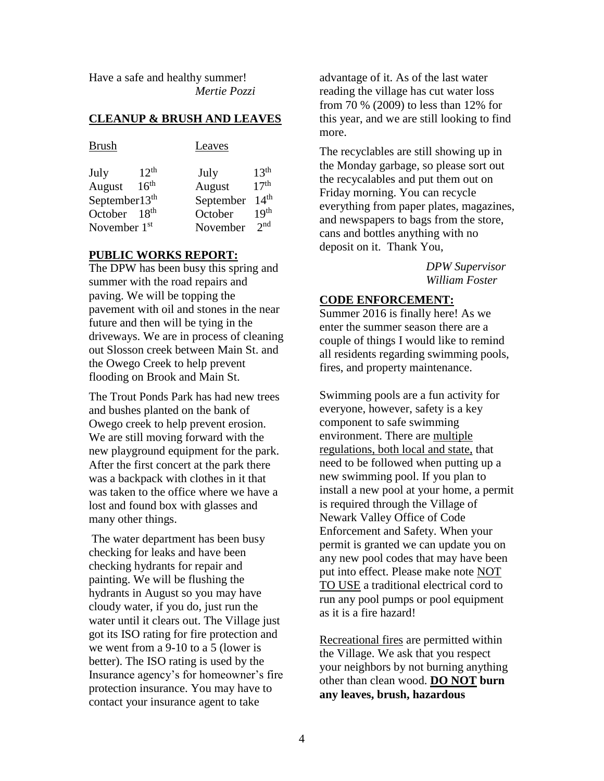Have a safe and healthy summer! *Mertie Pozzi*

#### **CLEANUP & BRUSH AND LEAVES**

|                | Leaves                                                            |                  |
|----------------|-------------------------------------------------------------------|------------------|
| $12^{th}$      | July                                                              | 13 <sup>th</sup> |
|                |                                                                   | 17 <sup>th</sup> |
|                | September                                                         | 14 <sup>th</sup> |
|                | October                                                           | 19 <sup>th</sup> |
| November $1st$ | November                                                          | $2^{nd}$         |
|                | 16 <sup>th</sup><br>September13 <sup>th</sup><br>18 <sup>th</sup> | August           |

### **PUBLIC WORKS REPORT:**

The DPW has been busy this spring and summer with the road repairs and paving. We will be topping the pavement with oil and stones in the near future and then will be tying in the driveways. We are in process of cleaning out Slosson creek between Main St. and the Owego Creek to help prevent flooding on Brook and Main St.

The Trout Ponds Park has had new trees and bushes planted on the bank of Owego creek to help prevent erosion. We are still moving forward with the new playground equipment for the park. After the first concert at the park there was a backpack with clothes in it that was taken to the office where we have a lost and found box with glasses and many other things.

The water department has been busy checking for leaks and have been checking hydrants for repair and painting. We will be flushing the hydrants in August so you may have cloudy water, if you do, just run the water until it clears out. The Village just got its ISO rating for fire protection and we went from a 9-10 to a 5 (lower is better). The ISO rating is used by the Insurance agency's for homeowner's fire protection insurance. You may have to contact your insurance agent to take

advantage of it. As of the last water reading the village has cut water loss from 70 % (2009) to less than 12% for this year, and we are still looking to find more.

The recyclables are still showing up in the Monday garbage, so please sort out the recycalables and put them out on Friday morning. You can recycle everything from paper plates, magazines, and newspapers to bags from the store, cans and bottles anything with no deposit on it. Thank You,

> *DPW Supervisor William Foster*

#### **CODE ENFORCEMENT:**

Summer 2016 is finally here! As we enter the summer season there are a couple of things I would like to remind all residents regarding swimming pools, fires, and property maintenance.

Swimming pools are a fun activity for everyone, however, safety is a key component to safe swimming environment. There are multiple regulations, both local and state, that need to be followed when putting up a new swimming pool. If you plan to install a new pool at your home, a permit is required through the Village of Newark Valley Office of Code Enforcement and Safety. When your permit is granted we can update you on any new pool codes that may have been put into effect. Please make note NOT TO USE a traditional electrical cord to run any pool pumps or pool equipment as it is a fire hazard!

Recreational fires are permitted within the Village. We ask that you respect your neighbors by not burning anything other than clean wood. **DO NOT burn any leaves, brush, hazardous**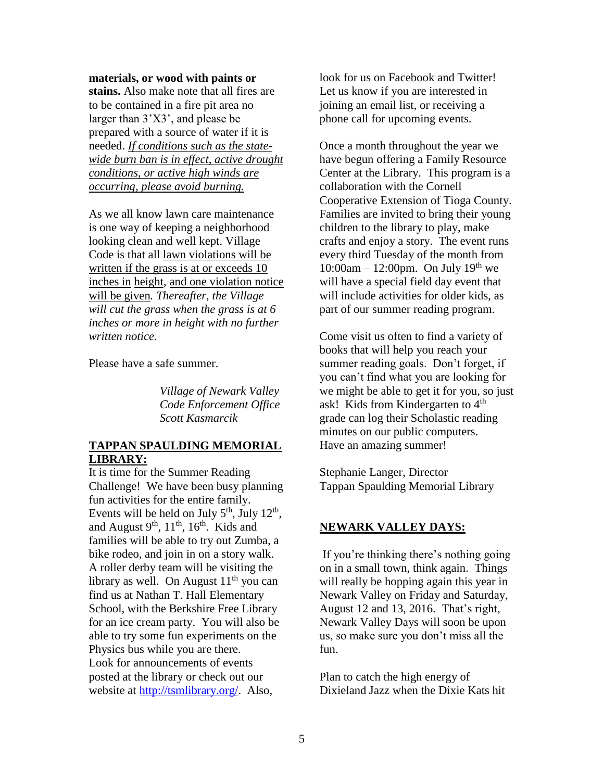**materials, or wood with paints or stains.** Also make note that all fires are to be contained in a fire pit area no larger than 3'X3', and please be prepared with a source of water if it is needed. *If conditions such as the statewide burn ban is in effect, active drought conditions, or active high winds are occurring, please avoid burning.*

As we all know lawn care maintenance is one way of keeping a neighborhood looking clean and well kept. Village Code is that all lawn violations will be written if the grass is at or exceeds 10 inches in height, and one violation notice will be given*. Thereafter, the Village will cut the grass when the grass is at 6 inches or more in height with no further written notice.* 

Please have a safe summer.

*Village of Newark Valley Code Enforcement Office Scott Kasmarcik*

## **TAPPAN SPAULDING MEMORIAL LIBRARY:**

It is time for the Summer Reading Challenge! We have been busy planning fun activities for the entire family. Events will be held on July  $5<sup>th</sup>$ , July  $12<sup>th</sup>$ , and August  $9<sup>th</sup>$ ,  $11<sup>th</sup>$ ,  $16<sup>th</sup>$ . Kids and families will be able to try out Zumba, a bike rodeo, and join in on a story walk. A roller derby team will be visiting the library as well. On August  $11<sup>th</sup>$  you can find us at Nathan T. Hall Elementary School, with the Berkshire Free Library for an ice cream party. You will also be able to try some fun experiments on the Physics bus while you are there. Look for announcements of events posted at the library or check out our website at [http://tsmlibrary.org/.](http://tsmlibrary.org/) Also,

look for us on Facebook and Twitter! Let us know if you are interested in joining an email list, or receiving a phone call for upcoming events.

Once a month throughout the year we have begun offering a Family Resource Center at the Library. This program is a collaboration with the Cornell Cooperative Extension of Tioga County. Families are invited to bring their young children to the library to play, make crafts and enjoy a story. The event runs every third Tuesday of the month from 10:00am – 12:00pm. On July 19<sup>th</sup> we will have a special field day event that will include activities for older kids, as part of our summer reading program.

Come visit us often to find a variety of books that will help you reach your summer reading goals. Don't forget, if you can't find what you are looking for we might be able to get it for you, so just ask! Kids from Kindergarten to  $4<sup>th</sup>$ grade can log their Scholastic reading minutes on our public computers. Have an amazing summer!

Stephanie Langer, Director Tappan Spaulding Memorial Library

## **NEWARK VALLEY DAYS:**

If you're thinking there's nothing going on in a small town, think again. Things will really be hopping again this year in Newark Valley on Friday and Saturday, August 12 and 13, 2016. That's right, Newark Valley Days will soon be upon us, so make sure you don't miss all the fun.

Plan to catch the high energy of Dixieland Jazz when the Dixie Kats hit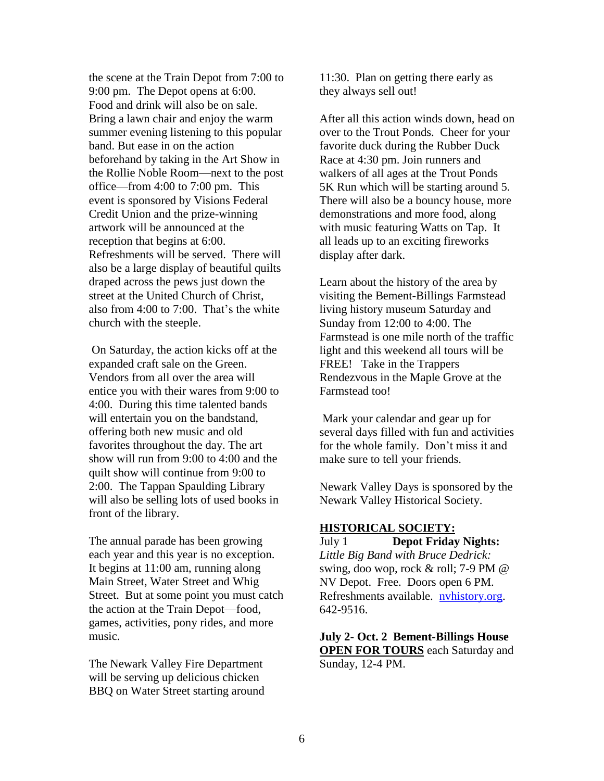the scene at the Train Depot from 7:00 to 9:00 pm. The Depot opens at 6:00. Food and drink will also be on sale. Bring a lawn chair and enjoy the warm summer evening listening to this popular band. But ease in on the action beforehand by taking in the Art Show in the Rollie Noble Room—next to the post office—from 4:00 to 7:00 pm. This event is sponsored by Visions Federal Credit Union and the prize-winning artwork will be announced at the reception that begins at 6:00. Refreshments will be served. There will also be a large display of beautiful quilts draped across the pews just down the street at the United Church of Christ, also from 4:00 to 7:00. That's the white church with the steeple.

On Saturday, the action kicks off at the expanded craft sale on the Green. Vendors from all over the area will entice you with their wares from 9:00 to 4:00. During this time talented bands will entertain you on the bandstand, offering both new music and old favorites throughout the day. The art show will run from 9:00 to 4:00 and the quilt show will continue from 9:00 to 2:00. The Tappan Spaulding Library will also be selling lots of used books in front of the library.

The annual parade has been growing each year and this year is no exception. It begins at 11:00 am, running along Main Street, Water Street and Whig Street. But at some point you must catch the action at the Train Depot—food, games, activities, pony rides, and more music.

The Newark Valley Fire Department will be serving up delicious chicken BBQ on Water Street starting around 11:30. Plan on getting there early as they always sell out!

After all this action winds down, head on over to the Trout Ponds. Cheer for your favorite duck during the Rubber Duck Race at 4:30 pm. Join runners and walkers of all ages at the Trout Ponds 5K Run which will be starting around 5. There will also be a bouncy house, more demonstrations and more food, along with music featuring Watts on Tap. It all leads up to an exciting fireworks display after dark.

Learn about the history of the area by visiting the Bement-Billings Farmstead living history museum Saturday and Sunday from 12:00 to 4:00. The Farmstead is one mile north of the traffic light and this weekend all tours will be FREE! Take in the Trappers Rendezvous in the Maple Grove at the Farmstead too!

Mark your calendar and gear up for several days filled with fun and activities for the whole family. Don't miss it and make sure to tell your friends.

Newark Valley Days is sponsored by the Newark Valley Historical Society.

#### **HISTORICAL SOCIETY:**

July 1 **Depot Friday Nights:** *Little Big Band with Bruce Dedrick:*  swing*,* doo wop, rock & roll; 7-9 PM @ NV Depot. Free. Doors open 6 PM. Refreshments available. [nvhistory.org.](http://nvhistory.org/) 642-9516.

**July 2- Oct. 2 Bement-Billings House OPEN FOR TOURS** each Saturday and Sunday, 12-4 PM.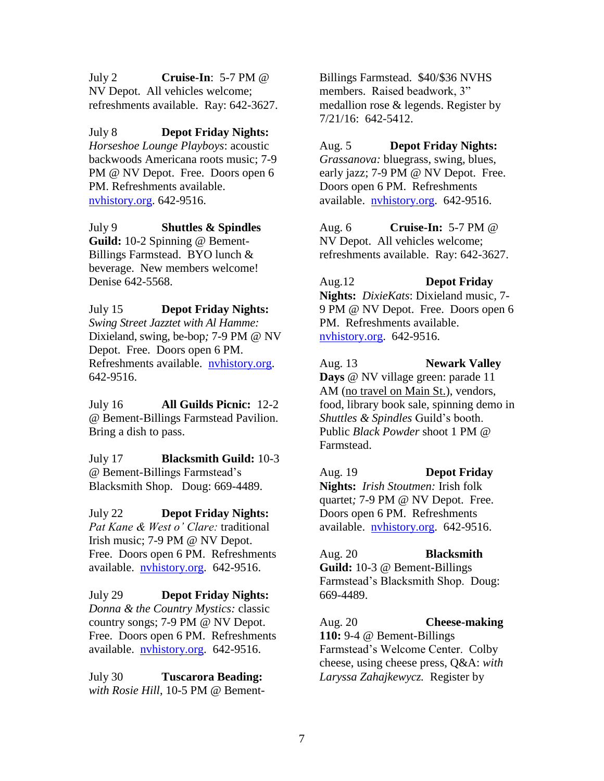July 2 **Cruise-In**: 5-7 PM @ NV Depot. All vehicles welcome; refreshments available. Ray: 642-3627.

July 8 **Depot Friday Nights:** *Horseshoe Lounge Playboys*: acoustic backwoods Americana roots music; 7-9 PM @ NV Depot. Free. Doors open 6 PM. Refreshments available. [nvhistory.org.](http://nvhistory.org/) 642-9516.

July 9 **Shuttles & Spindles Guild:** 10-2 Spinning @ Bement-Billings Farmstead. BYO lunch & beverage. New members welcome! Denise 642-5568.

July 15 **Depot Friday Nights:** *Swing Street Jazztet with Al Hamme:* Dixieland, swing, be-bop*;* 7-9 PM @ NV Depot. Free. Doors open 6 PM. Refreshments available. [nvhistory.org.](http://nvhistory.org/) 642-9516.

July 16 **All Guilds Picnic:** 12-2 @ Bement-Billings Farmstead Pavilion. Bring a dish to pass.

July 17 **Blacksmith Guild:** 10-3 @ Bement-Billings Farmstead's Blacksmith Shop. Doug: 669-4489.

July 22 **Depot Friday Nights:** *Pat Kane & West o' Clare:* traditional Irish music; 7-9 PM @ NV Depot. Free. Doors open 6 PM. Refreshments available. [nvhistory.org.](http://nvhistory.org/) 642-9516.

July 29 **Depot Friday Nights:** *Donna & the Country Mystics:* classic country songs; 7-9 PM @ NV Depot. Free. Doors open 6 PM. Refreshments available. [nvhistory.org.](http://nvhistory.org/) 642-9516.

July 30 **Tuscarora Beading:** *with Rosie Hill*, 10-5 PM @ BementBillings Farmstead. \$40/\$36 NVHS members. Raised beadwork, 3" medallion rose & legends. Register by 7/21/16: 642-5412.

Aug. 5**Depot Friday Nights:** *Grassanova:* bluegrass, swing, blues, early jazz; 7-9 PM @ NV Depot. Free. Doors open 6 PM. Refreshments available. [nvhistory.org.](http://nvhistory.org/) 642-9516.

Aug. 6 **Cruise-In:** 5-7 PM @ NV Depot. All vehicles welcome; refreshments available. Ray: 642-3627.

Aug.12 **Depot Friday Nights:** *DixieKats*: Dixieland music*,* 7- 9 PM @ NV Depot. Free. Doors open 6 PM. Refreshments available. [nvhistory.org.](http://nvhistory.org/) 642-9516.

Aug. 13 **Newark Valley Days** @ NV village green: parade 11 AM (no travel on Main St.), vendors, food, library book sale, spinning demo in *Shuttles & Spindles* Guild's booth. Public *Black Powder* shoot 1 PM @ Farmstead.

Aug. 19 **Depot Friday Nights:** *Irish Stoutmen:* Irish folk quartet*;* 7-9 PM @ NV Depot. Free. Doors open 6 PM. Refreshments available. [nvhistory.org.](http://nvhistory.org/) 642-9516.

Aug. 20 **Blacksmith Guild:** 10-3 @ Bement-Billings Farmstead's Blacksmith Shop. Doug: 669-4489.

Aug. 20 **Cheese-making 110:** 9-4 @ Bement-Billings Farmstead's Welcome Center. Colby cheese, using cheese press, Q&A: *with Laryssa Zahajkewycz.* Register by